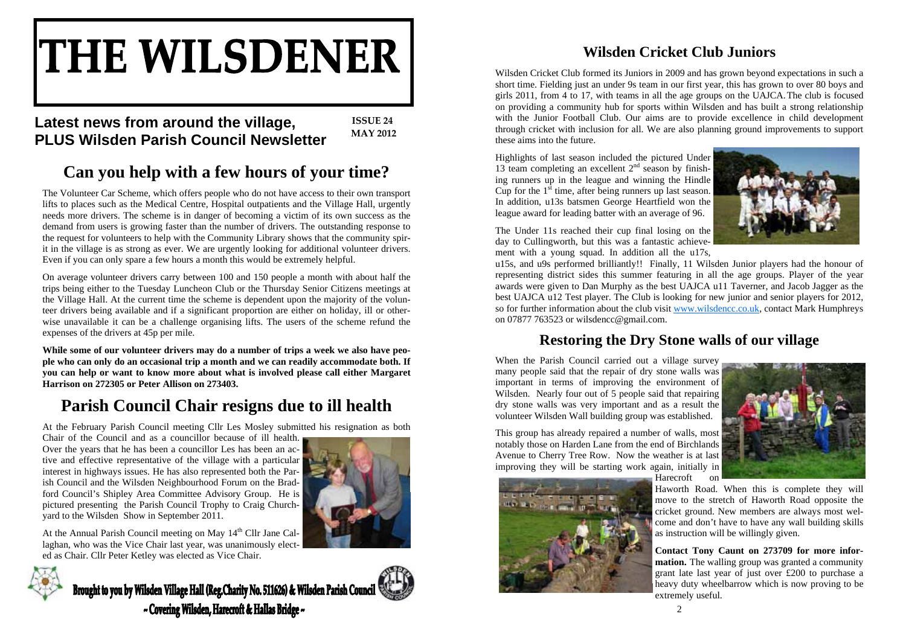# **THE WILSDENER**

# **<sup>2012</sup> Latest news from around the village, PLUS Wilsden Parish Council Newsletter**

**ISSUE 24 MAY**

# **Can you help with a few hours of your time?**

The Volunteer Car Scheme, which offers people who do not have access to their own transport lifts to places such as the Medical Centre, Hospital outpatients and the Village Hall, urgently needs more drivers. The scheme is in danger of becoming a victim of its own success as the demand from users is growing faster than the number of drivers. The outstanding response to the request for volunteers to help with the Community Library shows that the community spirit in the village is as strong as ever. We are urgently looking for additional volunteer drivers. Even if you can only spare a few hours a month this would be extremely helpful.

On average volunteer drivers carry between 100 and 150 people a month with about half the trips being either to the Tuesday Luncheon Club or the Thursday Senior Citizens meetings at the Village Hall. At the current time the scheme is dependent upon the majority of the volunteer drivers being available and if a significant proportion are either on holiday, ill or otherwise unavailable it can be a challenge organising lifts. The users of the scheme refund the expenses of the drivers at 45p per mile.

**While some of our volunteer drivers may do a number of trips a week we also have people who can only do an occasional trip a month and we can readily accommodate both. If you can help or want to know more about what is involved please call either Margaret Harrison on 272305 or Peter Allison on 273403.** 

# **Parish Council Chair resigns due to ill health**

At the February Parish Council meeting Cllr Les Mosley submitted his resignation as both

Chair of the Council and as a councillor because of ill health. Over the years that he has been a councillor Les has been an active and effective representative of the village with a particular interest in highways issues. He has also represented both the Parish Council and the Wilsden Neighbourhood Forum on the Bradford Council's Shipley Area Committee Advisory Group. He is pictured presenting the Parish Council Trophy to Craig Churchyard to the Wilsden Show in September 2011.



At the Annual Parish Council meeting on May  $14<sup>th</sup>$  Cllr Jane Callaghan, who was the Vice Chair last year, was unanimously elected as Chair. Cllr Peter Ketley was elected as Vice Chair.



Brought to you by Wilsden Village Hall (Reg.Charity No. 511626) & Wilsden Parish Council ~ Covering Wilsden, Harecroft & Hallas Bridge ~

# **Wilsden Cricket Club Juniors**

Wilsden Cricket Club formed its Juniors in 2009 and has grown beyond expectations in such a short time. Fielding just an under 9s team in our first year, this has grown to over 80 boys and girls 2011, from 4 to 17, with teams in all the age groups on the UAJCA.The club is focused on providing a community hub for sports within Wilsden and has built a strong relationship with the Junior Football Club. Our aims are to provide excellence in child development through cricket with inclusion for all. We are also planning ground improvements to support these aims into the future.

Highlights of last season included the pictured Under 13 team completing an excellent  $2<sup>nd</sup>$  season by finishing runners up in the league and winning the Hindle Cup for the  $1<sup>st</sup>$  time, after being runners up last season. In addition, u13s batsmen George Heartfield won the league award for leading batter with an average of 96.



The Under 11s reached their cup final losing on the day to Cullingworth, but this was a fantastic achievement with a young squad. In addition all the u17s,

u15s, and u9s performed brilliantly!! Finally, 11 Wilsden Junior players had the honour of representing district sides this summer featuring in all the age groups. Player of the year awards were given to Dan Murphy as the best UAJCA u11 Taverner, and Jacob Jagger as the best UAJCA u12 Test player. The Club is looking for new junior and senior players for 2012, so for further information about the club visit www.wilsdencc.co.uk, contact Mark Humphreys on 07877 763523 or wilsdencc@gmail.com.

# **Restoring the Dry Stone walls of our village**

When the Parish Council carried out a village survey many people said that the repair of dry stone walls was important in terms of improving the environment of Wilsden. Nearly four out of 5 people said that repairing dry stone walls was very important and as a result the volunteer Wilsden Wall building group was established.



This group has already repaired a number of walls, most notably those on Harden Lane from the end of Birchlands Avenue to Cherry Tree Row. Now the weather is at last improving they will be starting work again, initially in



Harecroft on

Haworth Road. When this is complete they will move to the stretch of Haworth Road opposite the cricket ground. New members are always most welcome and don't have to have any wall building skills as instruction will be willingly given.

**Contact Tony Caunt on 273709 for more information.** The walling group was granted a community grant late last year of just over £200 to purchase a heavy duty wheelbarrow which is now proving to be extremely useful.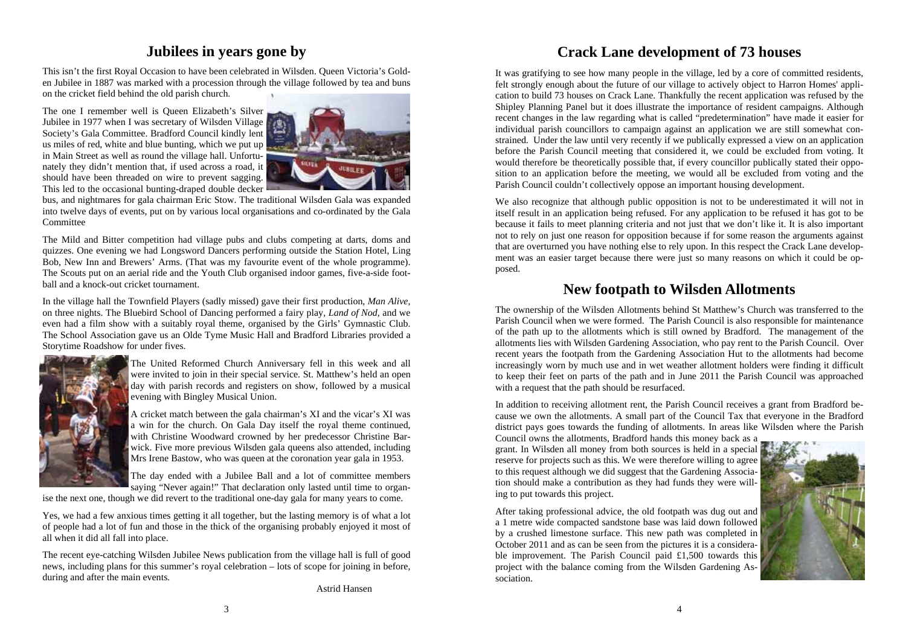## **Jubilees in years gone by**

This isn't the first Royal Occasion to have been celebrated in Wilsden. Queen Victoria's Golden Jubilee in 1887 was marked with a procession through the village followed by tea and buns on the cricket field behind the old parish church.

The one I remember well is Queen Elizabeth's Silver Jubilee in 1977 when I was secretary of Wilsden Village Society's Gala Committee. Bradford Council kindly lent us miles of red, white and blue bunting, which we put up in Main Street as well as round the village hall. Unfortunately they didn't mention that, if used across a road, it should have been threaded on wire to prevent sagging. This led to the occasional bunting-draped double decker



bus, and nightmares for gala chairman Eric Stow. The traditional Wilsden Gala was expanded into twelve days of events, put on by various local organisations and co-ordinated by the Gala Committee

The Mild and Bitter competition had village pubs and clubs competing at darts, doms and quizzes. One evening we had Longsword Dancers performing outside the Station Hotel, Ling Bob, New Inn and Brewers' Arms. (That was my favourite event of the whole programme). The Scouts put on an aerial ride and the Youth Club organised indoor games, five-a-side football and a knock-out cricket tournament.

In the village hall the Townfield Players (sadly missed) gave their first production, *Man Alive,*  on three nights. The Bluebird School of Dancing performed a fairy play, *Land of Nod,* and we even had a film show with a suitably royal theme, organised by the Girls' Gymnastic Club. The School Association gave us an Olde Tyme Music Hall and Bradford Libraries provided a Storytime Roadshow for under fives.



The United Reformed Church Anniversary fell in this week and all were invited to join in their special service. St. Matthew's held an open day with parish records and registers on show, followed by a musical evening with Bingley Musical Union.

A cricket match between the gala chairman's XI and the vicar's XI was a win for the church. On Gala Day itself the royal theme continued, with Christine Woodward crowned by her predecessor Christine Barwick. Five more previous Wilsden gala queens also attended, including Mrs Irene Bastow, who was queen at the coronation year gala in 1953.

The day ended with a Jubilee Ball and a lot of committee members saying "Never again!" That declaration only lasted until time to organ-

ise the next one, though we did revert to the traditional one-day gala for many years to come.

Yes, we had a few anxious times getting it all together, but the lasting memory is of what a lot of people had a lot of fun and those in the thick of the organising probably enjoyed it most of all when it did all fall into place.

The recent eye-catching Wilsden Jubilee News publication from the village hall is full of good news, including plans for this summer's royal celebration – lots of scope for joining in before, during and after the main events.

Astrid Hansen

# **Crack Lane development of 73 houses**

It was gratifying to see how many people in the village, led by a core of committed residents, felt strongly enough about the future of our village to actively object to Harron Homes' application to build 73 houses on Crack Lane. Thankfully the recent application was refused by the Shipley Planning Panel but it does illustrate the importance of resident campaigns. Although recent changes in the law regarding what is called "predetermination" have made it easier for individual parish councillors to campaign against an application we are still somewhat constrained. Under the law until very recently if we publically expressed a view on an application before the Parish Council meeting that considered it, we could be excluded from voting. It would therefore be theoretically possible that, if every councillor publically stated their opposition to an application before the meeting, we would all be excluded from voting and the Parish Council couldn't collectively oppose an important housing development.

We also recognize that although public opposition is not to be underestimated it will not in itself result in an application being refused. For any application to be refused it has got to be because it fails to meet planning criteria and not just that we don't like it. It is also important not to rely on just one reason for opposition because if for some reason the arguments against that are overturned you have nothing else to rely upon. In this respect the Crack Lane development was an easier target because there were just so many reasons on which it could be opposed.

### **New footpath to Wilsden Allotments**

The ownership of the Wilsden Allotments behind St Matthew's Church was transferred to the Parish Council when we were formed. The Parish Council is also responsible for maintenance of the path up to the allotments which is still owned by Bradford. The management of the allotments lies with Wilsden Gardening Association, who pay rent to the Parish Council. Over recent years the footpath from the Gardening Association Hut to the allotments had become increasingly worn by much use and in wet weather allotment holders were finding it difficult to keep their feet on parts of the path and in June 2011 the Parish Council was approached with a request that the path should be resurfaced.

In addition to receiving allotment rent, the Parish Council receives a grant from Bradford because we own the allotments. A small part of the Council Tax that everyone in the Bradford district pays goes towards the funding of allotments. In areas like Wilsden where the Parish

Council owns the allotments, Bradford hands this money back as a grant. In Wilsden all money from both sources is held in a special reserve for projects such as this. We were therefore willing to agree to this request although we did suggest that the Gardening Association should make a contribution as they had funds they were willing to put towards this project.



After taking professional advice, the old footpath was dug out and a 1 metre wide compacted sandstone base was laid down followed by a crushed limestone surface. This new path was completed in October 2011 and as can be seen from the pictures it is a considerable improvement. The Parish Council paid £1,500 towards this project with the balance coming from the Wilsden Gardening Association.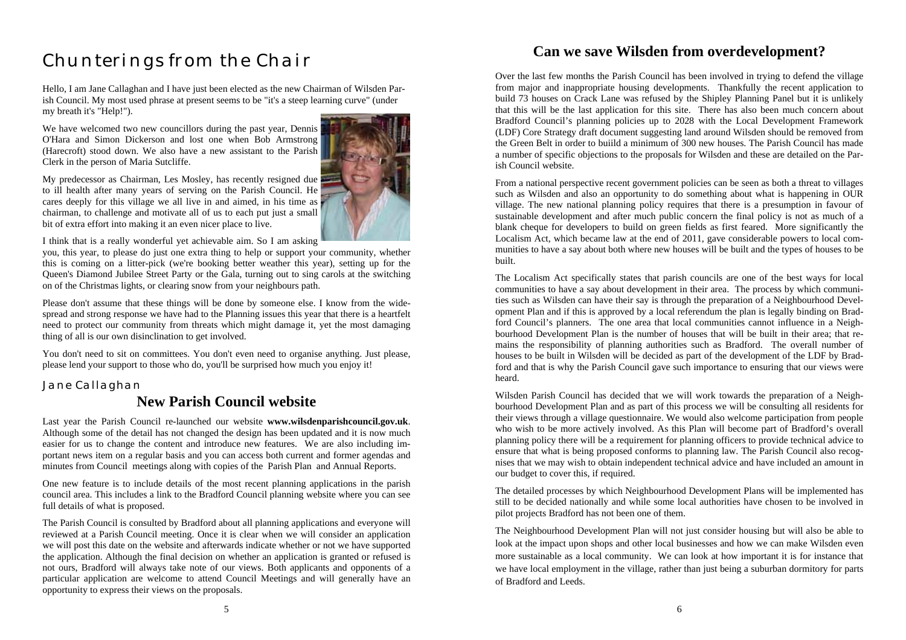# *Chunterings from the Chair*

Hello, I am Jane Callaghan and I have just been elected as the new Chairman of Wilsden Parish Council. My most used phrase at present seems to be "it's a steep learning curve" (under my breath it's "Help!").

We have welcomed two new councillors during the past year, Dennis O'Hara and Simon Dickerson and lost one when Bob Armstrong (Harecroft) stood down. We also have a new assistant to the Parish Clerk in the person of Maria Sutcliffe.



My predecessor as Chairman, Les Mosley, has recently resigned due to ill health after many years of serving on the Parish Council. He cares deeply for this village we all live in and aimed, in his time as chairman, to challenge and motivate all of us to each put just a small bit of extra effort into making it an even nicer place to live.

I think that is a really wonderful yet achievable aim. So I am asking

you, this year, to please do just one extra thing to help or support your community, whether this is coming on a litter-pick (we're booking better weather this year), setting up for the Queen's Diamond Jubilee Street Party or the Gala, turning out to sing carols at the switching on of the Christmas lights, or clearing snow from your neighbours path.

Please don't assume that these things will be done by someone else. I know from the widespread and strong response we have had to the Planning issues this year that there is a heartfelt need to protect our community from threats which might damage it, yet the most damaging thing of all is our own disinclination to get involved.

You don't need to sit on committees. You don't even need to organise anything. Just please, please lend your support to those who do, you'll be surprised how much you enjoy it!

#### *Jane Callaghan*

# **New Parish Council website**

Last year the Parish Council re-launched our website **www.wilsdenparishcouncil.gov.uk**. Although some of the detail has not changed the design has been updated and it is now much easier for us to change the content and introduce new features. We are also including important news item on a regular basis and you can access both current and former agendas and minutes from Council meetings along with copies of the Parish Plan and Annual Reports.

One new feature is to include details of the most recent planning applications in the parish council area. This includes a link to the Bradford Council planning website where you can see full details of what is proposed.

The Parish Council is consulted by Bradford about all planning applications and everyone will reviewed at a Parish Council meeting. Once it is clear when we will consider an application we will post this date on the website and afterwards indicate whether or not we have supported the application. Although the final decision on whether an application is granted or refused is not ours, Bradford will always take note of our views. Both applicants and opponents of a particular application are welcome to attend Council Meetings and will generally have an opportunity to express their views on the proposals.

# **Can we save Wilsden from overdevelopment?**

Over the last few months the Parish Council has been involved in trying to defend the village from major and inappropriate housing developments. Thankfully the recent application to build 73 houses on Crack Lane was refused by the Shipley Planning Panel but it is unlikely that this will be the last application for this site. There has also been much concern about Bradford Council's planning policies up to 2028 with the Local Development Framework (LDF) Core Strategy draft document suggesting land around Wilsden should be removed from the Green Belt in order to buiild a minimum of 300 new houses. The Parish Council has made a number of specific objections to the proposals for Wilsden and these are detailed on the Parish Council website.

From a national perspective recent government policies can be seen as both a threat to villages such as Wilsden and also an opportunity to do something about what is happening in OUR village. The new national planning policy requires that there is a presumption in favour of sustainable development and after much public concern the final policy is not as much of a blank cheque for developers to build on green fields as first feared. More significantly the Localism Act, which became law at the end of 2011, gave considerable powers to local communities to have a say about both where new houses will be built and the types of houses to be built.

The Localism Act specifically states that parish councils are one of the best ways for local communities to have a say about development in their area. The process by which communities such as Wilsden can have their say is through the preparation of a Neighbourhood Development Plan and if this is approved by a local referendum the plan is legally binding on Bradford Council's planners. The one area that local communities cannot influence in a Neighbourhood Development Plan is the number of houses that will be built in their area; that remains the responsibility of planning authorities such as Bradford. The overall number of houses to be built in Wilsden will be decided as part of the development of the LDF by Bradford and that is why the Parish Council gave such importance to ensuring that our views were heard.

Wilsden Parish Council has decided that we will work towards the preparation of a Neighbourhood Development Plan and as part of this process we will be consulting all residents for their views through a village questionnaire. We would also welcome participation from people who wish to be more actively involved. As this Plan will become part of Bradford's overall planning policy there will be a requirement for planning officers to provide technical advice to ensure that what is being proposed conforms to planning law. The Parish Council also recognises that we may wish to obtain independent technical advice and have included an amount in our budget to cover this, if required.

The detailed processes by which Neighbourhood Development Plans will be implemented has still to be decided nationally and while some local authorities have chosen to be involved in pilot projects Bradford has not been one of them.

The Neighbourhood Development Plan will not just consider housing but will also be able to look at the impact upon shops and other local businesses and how we can make Wilsden even more sustainable as a local community. We can look at how important it is for instance that we have local employment in the village, rather than just being a suburban dormitory for parts of Bradford and Leeds.